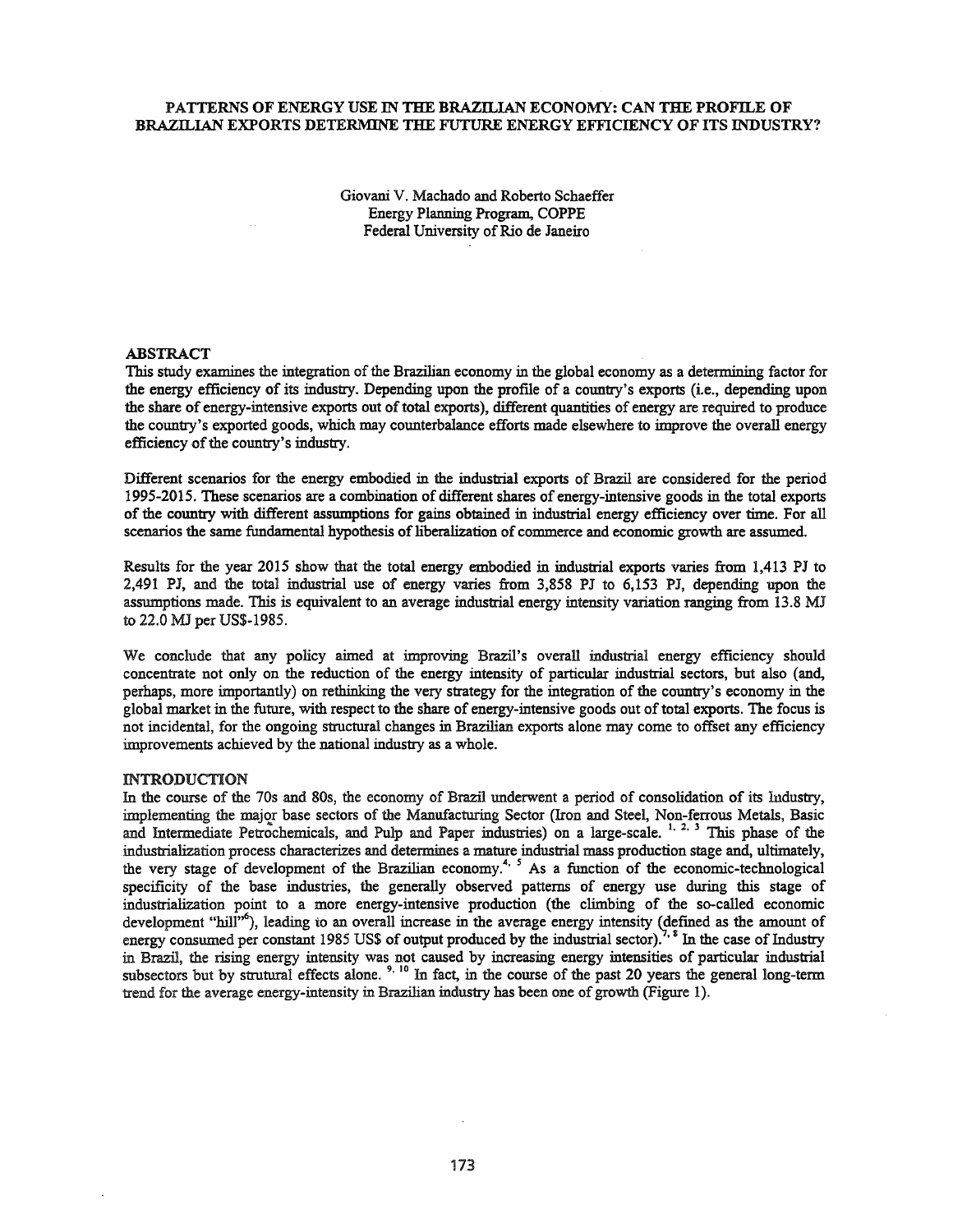## PATTERNS OF ENERGY USE IN THE BRAZILIAN ECONOMY: CAN THE PROFILE OF BRAZILIAN EXPORTS DETERMINE THE FUTURE ENERGY EFFICIENCY OF ITS INDUSTRY?

Giovani V. Machado and Roberto Schaeffer Energy Planning Program, COPPE Federal University of Rio de Janeiro

### ABSTRACT

This study examines the integration of the Brazilian economy in the global economy as a determining factor for the energy efficiency of its industry. Depending upon the proflle of a country's exports (i.e., depending upon the share of energy-intensive exports out of total exports), different quantities of energy are required to produce the country's exported goods, which may counterbalance efforts made elsewhere to improve the overall energy efficiency of the country's industry.

Different scenarios for the energy embodied in the industrial exports of Brazil are considered for the period 1995-2015. These scenarios are a combination of different shares of energy-intensive goods in the total exports of the country with different assumptions for gains obtained in industrial energy efficiency over time. For all scenarios the same fundamental hypothesis of liberalization of commerce and economic growth are assumed.

Results for the year 2015 show that the total energy embodied in industrial exports varies from 1,413 PJ to 2,491 PJ, and the total industrial use of energy varies from 3,858 PJ to 6,153 PJ, depending upon the assumptions made. This is equivalent to an average industrial energy intensity variation ranging from 13.8 MJ to 22.0 MJ per US\$-1985.

We conclude that any policy aimed at improving Brazil's overall industrial energy efficiency should concentrate not only on the reduction of the energy intensity of particular industrial sectors, but also (and, perhaps, more importantly) on rethinking the very strategy for the integration of the country's economy in the global market in the future, with respect to the share of energy-intensive goods out oftotal exports. The focus is not incidental, for the ongoing structural changes in Brazilian exports alone may come to offset any efficiency improvements achieved by the national industry as a whole.

#### INTRODUCTION

In the course of the 70s and 80s, the economy of Brazil underwent a period of consolidation of its Industry, implementing the major base sectors of the Manufacturing Sector (Iron and Steel, Non-ferrous Metals, Basic and Intermediate Petrochemicals, and Pulp and Paper industries) on a large-scale. <sup>1, 2, 3</sup> This phase of the industrialization process characterizes and determines a mature industrial mass production stage and, ultimately, the very stage of development of the Brazilian economy.<sup>4, 5</sup> As a function of the economic-technological specificity of the base industries, the generally observed patterns of energy use during this stage of industrialization point to a more energy-intensive production (the climbing of the so-called economic development "hill"<sup>6</sup>), leading to an overall increase in the average energy intensity (defined as the amount of energy consumed per constant 1985 US\$ of output produced by the industrial sector).<sup>7, 8</sup> In the case of Industry in Brazil, the rising energy intensity was not caused by increasing energy intensities of particular industrial subsectors but by strutural effects alone.<sup>9, 10</sup> In fact, in the course of the past 20 years the general long-term trend for the average energy-intensity in Brazilian industry has been one ofgrowth (Figure 1).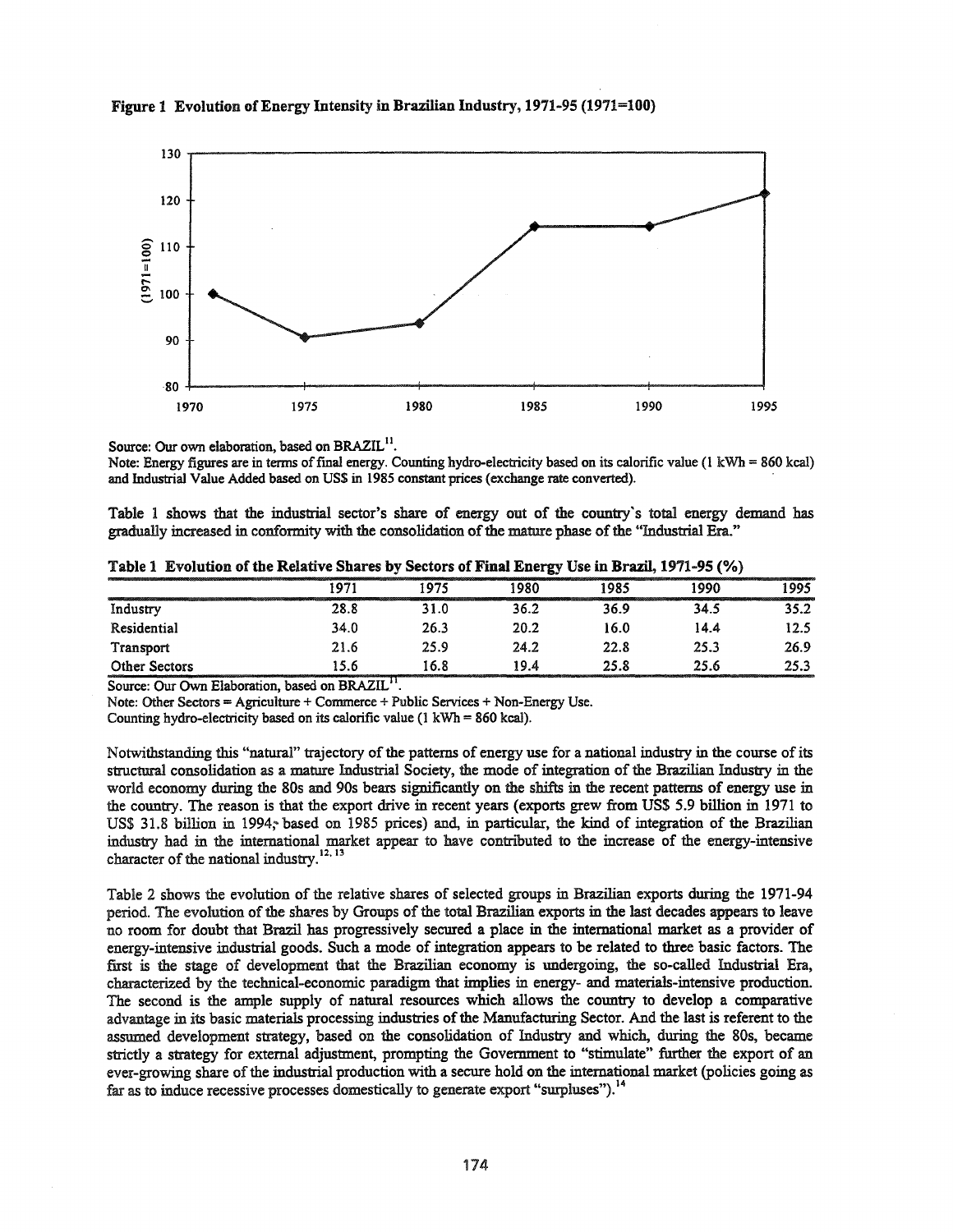

# Figure 1 Evolution of Energy Intensity in Brazilian Industry, 1971-95 (1971=100)

Source: Our own elaboration, based on BRAZIL<sup>11</sup>.

Note: Energy figures are in terms of final energy. Counting hydro-electricity based on its calorific value  $(1 \text{ kWh} = 860 \text{ kcal})$ and Industrial Value Added based on US\$ in 1985 constant prices (exchange rate converted).

Table 1 shows that the industrial sector's share of energy out of the country's total energy demand has gradually increased in conformity with the consolidation of the mature phase of the "Industrial Era."

|               |      |      | -- 87 | ____ | -- - - - - - . |      |
|---------------|------|------|-------|------|----------------|------|
|               | 197  | 1975 | 1980  | 1985 | 1990           | 1995 |
| Industry      | 28.8 | 31.0 | 36.2  | 36.9 | 34.5           | 35.2 |
| Residential   | 34.0 | 26.3 | 20.2  | 16.0 | 14.4           | 12.5 |
| Transport     | 21.6 | 25.9 | 24.2  | 22.8 | 25.3           | 26.9 |
| Other Sectors | 15.6 | 16.8 | 19.4  | 25.8 | 25.6           | 25.3 |

Table 1 Evolution of the Relative Shares by Sectors of Final Energy Use in Brazil, 1971-95 (%)

Source: Our Own Elaboration, based on BRAZIL<sup>11</sup>.

Note: Other Sectors = Agriculture + Commerce + Public Services + Non-Energy Use.

Counting hydro-electricity based on its calorific value ( $1 \text{ kWh} = 860 \text{ kcal}$ ).

Notwithstanding this "natural" trajectory of the patterns of energy use for a national industry in the course of its structural consolidation as a mature Industrial Society, the mode of integration ofthe Brazilian Industry in the world economy during the 80s and 90s bears significantly on the shifts in the recent patterns of energy use in the country. The reason is that the export drive in recent years (exports grew from US\$ 5.9 billion in 1971 to US\$ 31.8 billion in 1994; based on 1985 prices) and, in particular, the kind of integration of the Brazilian industry had in the international market appear to have contributed to the increase of the energy-intensive character of the national industry.<sup>12, 13</sup>

Table 2 shows the evolution of the relative shares of selected groups in Brazilian exports during the 1971-94 period. The evolution of the shares by Groups of the total Brazilian exports in the last decades appears to leave no room for doubt that Brazil has progressively secured a place in the international market as a provider of energy-intensive industrial goods. Such a mode of integration appears to be related to three basic factors. The first is the stage of development that the Brazilian economy is undergoing, the so-called Industrial Era, characterized by the technical-economic paradigm that implies in energy- and materials-intensive production. The second is the ample supply of natural resources which allows the country to develop a comparative advantage in its basic materials processing industries of the Manufacturing Sector. And the last is referent to the assumed development strategy, based on the consolidation of Industry and which, during the 80s, became strictly a strategy for external adjustment, prompting the Government to "stimulate" further the export of an ever-growing share of the industrial production with a secure hold on the international market (policies going as far as to induce recessive processes domestically to generate export "surpluses").<sup>14</sup>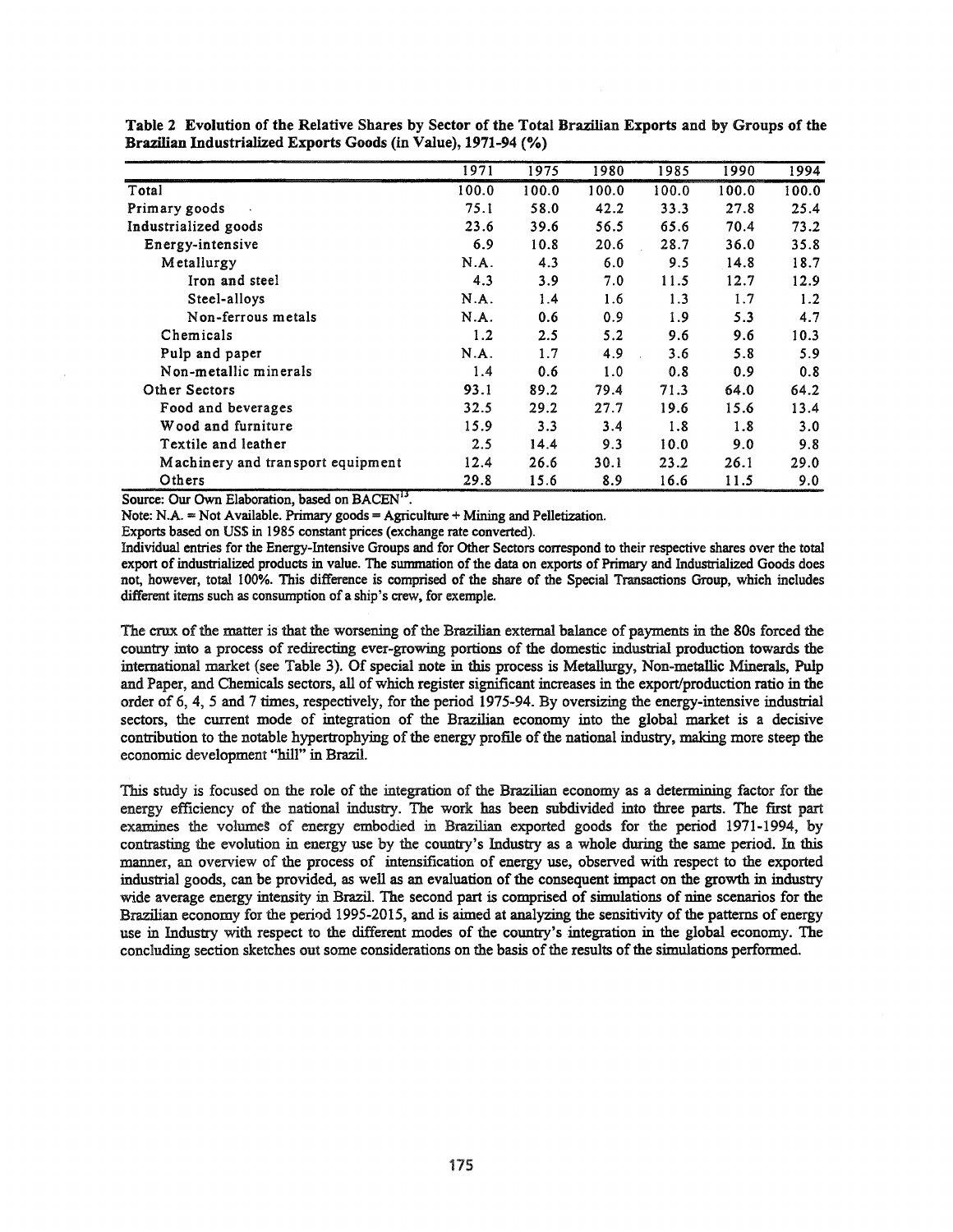|                                   | 1971  | 1975  | 1980  | 1985  | 1990  | 1994  |
|-----------------------------------|-------|-------|-------|-------|-------|-------|
| Total                             | 100.0 | 100.0 | 100.0 | 100.0 | 100.0 | 100.0 |
| Primary goods                     | 75.1  | 58.0  | 42.2  | 33.3  | 27.8  | 25.4  |
| Industrialized goods              | 23.6  | 39.6  | 56.5  | 65.6  | 70.4  | 73.2  |
| Energy-intensive                  | 6.9   | 10.8  | 20.6  | 28.7  | 36.0  | 35.8  |
| Metallurgy                        | N.A.  | 4.3   | 6.0   | 9.5   | 14.8  | 18.7  |
| Iron and steel                    | 4.3   | 3.9   | 7.0   | 11.5  | 12.7  | 12.9  |
| Steel-alloys                      | N.A.  | 1.4   | 1.6   | 1.3   | 1.7   | 1.2   |
| Non-ferrous metals                | N.A.  | 0.6   | 0.9   | 1.9   | 5.3   | 4.7   |
| Chemicals                         | 1.2   | 2.5   | 5.2   | 9.6   | 9.6   | 10.3  |
| Pulp and paper                    | N.A.  | 1.7   | 4.9   | 3.6   | 5.8   | 5.9   |
| Non-metallic minerals             | 1.4   | 0.6   | 1.0   | 0.8   | 0.9   | 0.8   |
| Other Sectors                     | 93.1  | 89.2  | 79.4  | 71.3  | 64.0  | 64.2  |
| Food and beverages                | 32.5  | 29.2  | 27.7  | 19.6  | 15.6  | 13.4  |
| Wood and furniture                | 15.9  | 3.3   | 3.4   | 1.8   | 1.8   | 3.0   |
| Textile and leather               | 2.5   | 14.4  | 9.3   | 10.0  | 9.0   | 9.8   |
| Machinery and transport equipment | 12.4  | 26.6  | 30.1  | 23.2  | 26.1  | 29.0  |
| Others                            | 29.8  | 15.6  | 8.9   | 16.6  | 11.5  | 9.0   |

Table 2 Evolution of the Relative Shares by Sector of the Total Brazilian Exports and by Groups of the Brazilian Industrialized Exports Goods (in Value), 1971-94 (%)

Source: Our Own Elaboration, based on BACEN<sup>13</sup>.

Note: N.A. = Not Available. Primary goods = Agriculture + Mining and Pelletization.

Exports based on US\$ in 1985 constant prices (exchange rate converted).

Individual entries for the Energy-Intensive Groups and for Other Sectors correspond to their respective shares over the total export of industrialized products in value. The summation of the data on exports of Primary and Industrialized Goods does not, however, total 100%. This difference is comprised of the share of the Special Transactions Group, which includes different items such as consumption of a ship's crew, for exemple.

The crux of the matter is that the worsening of the Brazilian external balance of payments in the 80s forced the country into a process of redirecting ever-growing portions of the domestic industrial production towards the international market (see Table 3). Of special note in this process is Metallurgy, Non-metallic Minerals, Pulp and Paper, and Chemicals sectors, all of which register significant increases in the export/production ratio in the order of 6,4, 5 and 7 times, respectively, for the period 1975-94. By oversizing the energy-intensive industrial sectors, the current mode of integration of the Brazilian economy into the global market is a decisive contribution to the notable hypertrophying of the energy profile of the national industry, making more steep the economic development "hill" in Brazil.

This study is focused on the role of the integration of the Brazilian economy as a determining factor for the energy efficiency of the national industry. The work has been subdivided into three parts. The first part examines the volumes of energy embodied in Brazilian exported goods for the period 1971-1994, by contrasting the evolution in energy use by the country's Industry as a whole during the same period. In this manner, an overview of the process of intensification of energy use, observed with respect to the exported industrial goods, can be provided, as well as an evaluation of the consequent impact on the growth in industry wide average energy intensity in Brazil. The second part is comprised of simulations of nine scenarios for the Brazilian economy for the period 1995-2015, and is aimed at analyzing the sensitivity of the patterns of energy use in Industry with respect to the different modes of the country's integration in the global economy. The concluding section sketches out some considerations on the basis of the results of the simulations performed.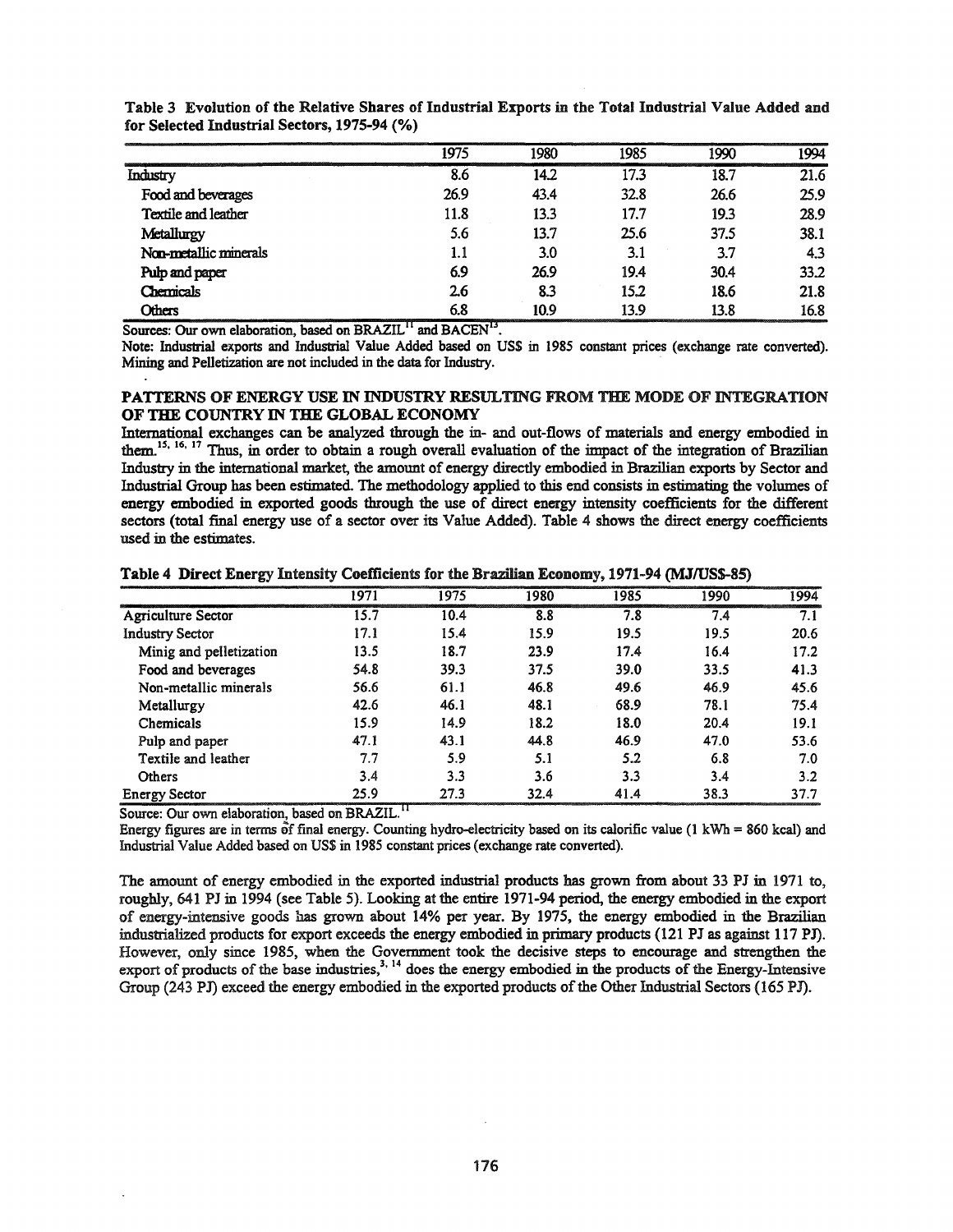|                       | 1975 | 1980 | 1985 | 1990 | 1994 |
|-----------------------|------|------|------|------|------|
| Industry              | 8.6  | 14.2 | 17.3 | 18.7 | 21.6 |
| Food and beverages    | 26.9 | 43.4 | 32.8 | 26.6 | 25.9 |
| Textile and leather   | 11.8 | 13.3 | 17.7 | 19.3 | 28.9 |
| Metallurgy            | 5.6  | 13.7 | 25.6 | 37.5 | 38.1 |
| Non-metallic minerals | 1.1  | 3.0  | 3.1  | 3.7  | 4.3  |
| Pulp and paper        | 6.9  | 26.9 | 19.4 | 30.4 | 33.2 |
| Chemicals             | 2.6  | 8.3  | 15.2 | 18.6 | 21.8 |
| Others                | 6.8  | 10.9 | 13.9 | 13.8 | 16.8 |

Table 3 Evolution of the Relative Shares of Industrial Exports in the Total Industrial Value Added and for Selected Industrial Sectors, 1975-94 (%)

Sources: Our own elaboration, based on BRAZIL<sup>11</sup> and BACEN<sup>13</sup>.

Note: Industrial exports and Industrial Value Added based on US\$ in 1985 constant prices (exchange rate converted). Mining and Pelletization are not included in the data for Industry.

## PATTERNS OF ENERGY USE IN INDUSTRY RESULTING FROM THE MODE OF INTEGRATION OF THE COUNTRY IN THE GLOBAL ECONOMY

International exchanges can be analyzed through the in- and out-flows of materials and energy embodied in them.<sup>15, 16, 17</sup> Thus, in order to obtain a rough overall evaluation of the impact of the integration of Brazilian Industry in the international market, the amount of energy directly embodied in Brazilian exports by Sector and Industrial Group has been estimated. The methodology applied to this end consists in estimating the volumes of energy embodied in exported goods through the use of direct energy intensity coefficients for the different sectors (total final energy use of a sector over its Value Added). Table 4 shows the direct energy coefficients used in the estimates.

|                           | 1971 | 1975 | 1980 | 1985 | 1990 | 1994 |
|---------------------------|------|------|------|------|------|------|
| <b>Agriculture Sector</b> | 15.7 | 10.4 | 8.8  | 7.8  | 7.4  | 7.1  |
| <b>Industry Sector</b>    | 17.1 | 15.4 | 15.9 | 19.5 | 19.5 | 20.6 |
| Minig and pelletization   | 13.5 | 18.7 | 23.9 | 17.4 | 16.4 | 17.2 |
| Food and beverages        | 54.8 | 39.3 | 37.5 | 39.0 | 33.5 | 41.3 |
| Non-metallic minerals     | 56.6 | 61.1 | 46.8 | 49.6 | 46.9 | 45.6 |
| Metallurgy                | 42.6 | 46.1 | 48.1 | 68.9 | 78.1 | 75.4 |
| Chemicals                 | 15.9 | 14.9 | 18.2 | 18.0 | 20.4 | 19.1 |
| Pulp and paper            | 47.1 | 43.1 | 44.8 | 46.9 | 47.0 | 53.6 |
| Textile and leather       | 7.7  | 5.9  | 5.1  | 5.2  | 6.8  | 7.0  |
| Others                    | 3.4  | 3.3  | 3.6  | 3.3  | 3.4  | 3.2  |
| <b>Energy Sector</b>      | 25.9 | 27.3 | 32.4 | 41.4 | 38.3 | 37.7 |

Table 4 Direct Energy Intensity Coefficients for the Brazilian Economy, 1971-94 (MJIUS\$-85)

Source: Our own elaboration, based on BRAZIL.<sup>11</sup>

Energy figures are in terms of final energy. Counting hydro-electricity based on its calorific value (1 kWh =  $860$  kcal) and Industrial Value Added based on US\$ in 1985 constant prices (exchange rate converted).

The amount of energy embodied in the exported industrial products has grown from about 33 PJ in 1971 to, roughly, 641 PJ in 1994 (see Table 5). Looking at the entire 1971-94 period., the energy embodied in the export of energy-intensive goods has grown about 14% per year. By 1975, the energy embodied in the Brazilian industrialized products for export exceeds the energy embodied in primary products (121 *PI* as against 117 PJ). However, only since 1985, when the Government took the decisive steps to encourage and strengthen the export of products of the base industries,<sup>3, 14</sup> does the energy embodied in the products of the Energy-Intensive Group (243 PJ) exceed the energy embodied in the exported products of the Other Industrial Sectors (165 PJ).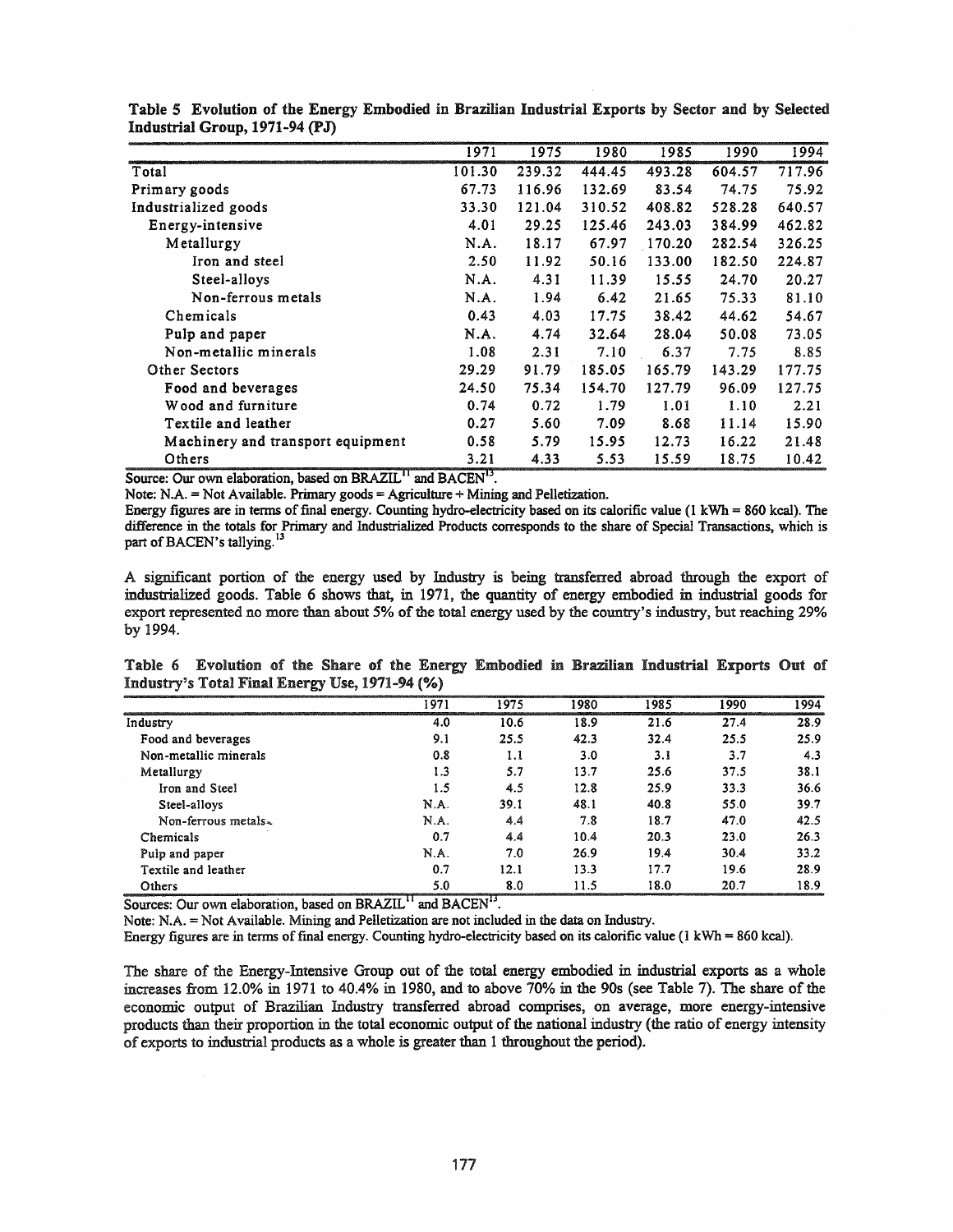|                                   | 1971   | 1975   | 1980   | 1985   | 1990   | 1994   |
|-----------------------------------|--------|--------|--------|--------|--------|--------|
| Total                             | 101.30 | 239.32 | 444.45 | 493.28 | 604.57 | 717.96 |
| Primary goods                     | 67.73  | 116.96 | 132.69 | 83.54  | 74.75  | 75.92  |
| Industrialized goods              | 33.30  | 121.04 | 310.52 | 408.82 | 528.28 | 640.57 |
| Energy-intensive                  | 4.01   | 29.25  | 125.46 | 243.03 | 384.99 | 462.82 |
| Metallurgy                        | N.A.   | 18.17  | 67.97  | 170.20 | 282.54 | 326.25 |
| Iron and steel                    | 2.50   | 11.92  | 50.16  | 133.00 | 182.50 | 224.87 |
| Steel-alloys                      | N.A.   | 4.31   | 11.39  | 15.55  | 24.70  | 20.27  |
| Non-ferrous metals                | N.A.   | 1.94   | 6.42   | 21.65  | 75.33  | 81.10  |
| Chemicals                         | 0.43   | 4.03   | 17.75  | 38.42  | 44.62  | 54.67  |
| Pulp and paper                    | N.A.   | 4.74   | 32.64  | 28.04  | 50.08  | 73.05  |
| Non-metallic minerals             | 1.08   | 2.31   | 7.10   | 6.37   | 7.75   | 8.85   |
| Other Sectors                     | 29.29  | 91.79  | 185.05 | 165.79 | 143.29 | 177.75 |
| Food and beverages                | 24.50  | 75.34  | 154.70 | 127.79 | 96.09  | 127.75 |
| Wood and furniture                | 0.74   | 0.72   | 1.79   | 1.01   | 1.10   | 2.21   |
| Textile and leather               | 0.27   | 5.60   | 7.09   | 8.68   | 11.14  | 15.90  |
| Machinery and transport equipment | 0.58   | 5.79   | 15.95  | 12.73  | 16.22  | 21.48  |
| Others                            | 3.21   | 4.33   | 5.53   | 15.59  | 18.75  | 10.42  |

| Table 5 Evolution of the Energy Embodied in Brazilian Industrial Exports by Sector and by Selected |  |  |  |  |  |  |
|----------------------------------------------------------------------------------------------------|--|--|--|--|--|--|
| Industrial Group, 1971-94 (PJ)                                                                     |  |  |  |  |  |  |

Source: Our own elaboration, based on BRAZIL<sup>11</sup> and BACEN<sup>13</sup>.

Note: N.A. = Not Available. Primary goods = Agriculture + Mining and Pelletization.

Energy figures are in terms of final energy. Counting hydro-electricity based on its calorific value (1 kWh = 860 kcal). The difference in the totals for Primary and Industrialized Products corresponds to the share of Special Transactions, which is part of BACEN's tallying.<sup>13</sup>

A significant portion of the energy used by Industry is being transferred abroad through the export of industrialized goods. Table 6 shows that, in 1971, the quantity of energy embodied in industrial goods for export represented no more than about 5% of the total energy used by the country's industry, but reaching 29% by 1994.

Table 6 Evolution of the Share of the Energy Embodied in Brazilian Industrial Exports Out of Industry's Total Final Energy Use, 1971-94 (%)

|                       | 1971 | 1975 | 1980 | 1985 | 1990 | 1994 |
|-----------------------|------|------|------|------|------|------|
| Industry              | 4.0  | 10.6 | 18.9 | 21.6 | 27.4 | 28.9 |
| Food and beverages    | 9.1  | 25.5 | 42.3 | 32.4 | 25.5 | 25.9 |
| Non-metallic minerals | 0.8  | 1.1  | 3.0  | 3.1  | 3.7  | 4.3  |
| Metallurgy            | 1.3  | 5.7  | 13.7 | 25.6 | 37.5 | 38.1 |
| Iron and Steel        | 1.5  | 4.5  | 12.8 | 25.9 | 33.3 | 36.6 |
| Steel-alloys          | N.A. | 39.1 | 48.1 | 40.8 | 55.0 | 39.7 |
| Non-ferrous metals.   | N.A. | 44   | 7.8  | 18.7 | 47.0 | 42.5 |
| Chemicals             | 0.7  | 4.4  | 10.4 | 20.3 | 23.0 | 26.3 |
| Pulp and paper        | N.A. | 7.0  | 26.9 | 19.4 | 30.4 | 33.2 |
| Textile and leather   | 0.7  | 12.1 | 13.3 | 17.7 | 19.6 | 28.9 |
| Others                | 5.0  | 8.0  | 11.5 | 18.0 | 20.7 | 18.9 |

Sources: Our own elaboration, based on BRAZIL<sup>11</sup> and BACEN<sup>13</sup>.

Note: N.A. = Not Available. Mining and Pelletization are not included in the data on Industry.

Energy figures are in terms of final energy. Counting hydro-electricity based on its calorific value (1 kWh = 860 kcal).

The share of the Energy-Intensive Group out of the total energy embodied in industrial exports as a whole increases from 12.0% in 1971 to 40.4% in 1980, and to above 70% in the 90s (see Table 7). The share ofthe economic output of Brazilian Industry transferred abroad comprises, on average, more energy-intensive products than their proportion in the total economic output of the national industry (the ratio of energy intensity of exports to industrial products as a whole is greater than 1 throughout the period).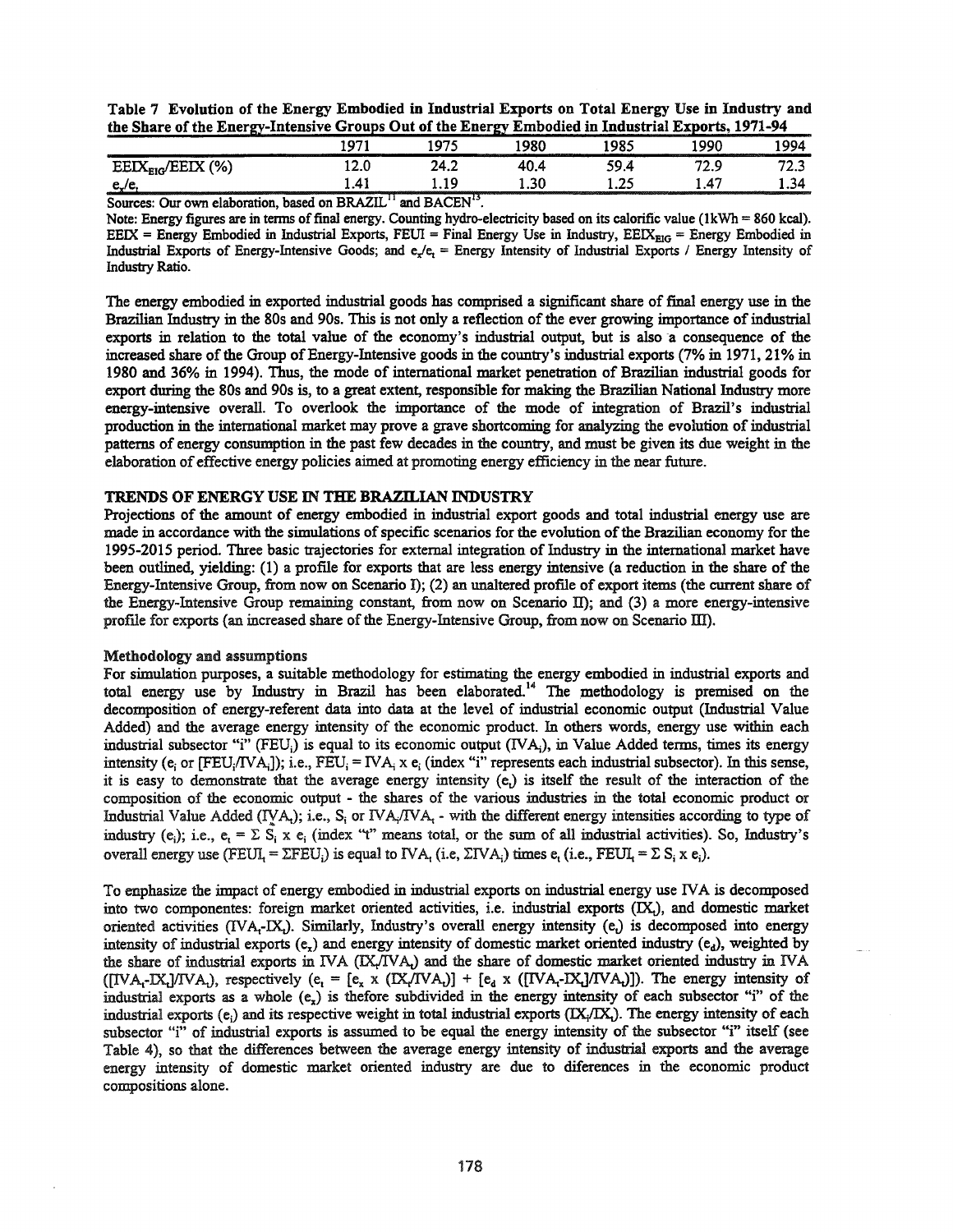Table 7 Evolution of the Energy Embodied in Industrial Exports on Total Energy Use in Industry and the Share of the EnergY-Intensive Groups Out of the Energy Embodied in Industrial Exports, 1971-94

| the company's company's company's            | 1071<br>-- | 1075<br>. .   | ោល<br>--------------<br><b><i><u>Program Control Department Control Department Control Department Control Department Control Department Control Department Control Department Control Department Control Department Control Department Control Department Co</u></i></b> | 1985   | <b><i><u>Programmation Control Control Control Control Control Control Control Control Control Control Control Control Control Control Control Control Control Control Control Control Control Control Control Control Control Contr</u></i></b><br>_____<br>രാറ<br>________ | 1994                      |
|----------------------------------------------|------------|---------------|--------------------------------------------------------------------------------------------------------------------------------------------------------------------------------------------------------------------------------------------------------------------------|--------|------------------------------------------------------------------------------------------------------------------------------------------------------------------------------------------------------------------------------------------------------------------------------|---------------------------|
| (% )<br>$\text{EEX}_{\text{EIG}}/\text{EEX}$ | ∩ הו<br>.  | 24.2.<br>-7.4 | 1 N                                                                                                                                                                                                                                                                      | 59     | د.ء                                                                                                                                                                                                                                                                          | - -<br>سمد                |
| ື                                            | 1.41       | 19<br>1.LJ    | 30<br>1.JV<br><b><i>Commitmentation</i></b>                                                                                                                                                                                                                              | ግድ<br> | $\mathbf{A}^{\bullet}$                                                                                                                                                                                                                                                       | 1.34<br>----------------- |

Sources: Our own elaboration, based on BRAZIL<sup>11</sup> and BACEN<sup>13</sup>.

Note: Energy figures are in terms of final energy. Counting hydro-electricity based on its calorific value ( $1kWh = 860$  kcal). EEIX = Energy Embodied in Industrial Exports, FEUI = Final Energy Use in Industry,  $EEX_{EIG}$  = Energy Embodied in Industrial Exports of Energy-Intensive Goods; and  $e/e<sub>r</sub>$  = Energy Intensity of Industrial Exports / Energy Intensity of Industry Ratio.

The energy embodied in exported industrial goods has comprised a significant share of final energy use in the Brazilian Industry in the 80s and 90s. This is not only a reflection of the ever growing importance of industrial exports in relation to the total value of the economy's industrial output, but is also a consequence of the increased share of the Group of Energy-Intensive goods in the country's industrial exports (7% in 1971, 21% in 1980 and 36% in 1994). Thus, the mode of international market penetration of Brazilian industrial goods for export during the 80s and 90s is, to a great extent, responsible for making the Brazilian National Industry more energy-intensive overall. To overlook the importance of the mode of integration of Brazil's industrial production in the international market may prove a grave shortcoming for analyzing the evolution ofindustrial patterns of energy consumption in the past few decades in the country, and must be given its due weight in the elaboration of effective energy policies aimed at promoting energy efficiency in the near future.

## TRENDS OF ENERGY USE IN THE BRAZILIAN INDUSTRY

Projections of the amount of energy embodied in industrial export goods and total industrial energy use are made in accordance with the simulations of specific scenarios for the evolution of the Brazilian economy for the 1995-2015 period. Three basic trajectories for external integration of Industry in the international market have been outlined, yielding: (1) a profile for exports that are less energy intensive (a reduction in the share of the Energy-Intensive Group, from now on Scenario I); (2) an unaltered profile of export items (the current share of the Energy-Intensive Group remaining constant, from now on Scenario II); and  $(3)$  a more energy-intensive profile for exports (an increased share of the Energy-Intensive Group, from now on Scenario III).

#### Methodology and assumptions

For simulation purposes, a suitable methodology for estimating the energy embodied in industrial exports and total energy use by Industry in Brazil has been elaborated.<sup>14</sup> The methodology is premised on the decomposition of energy-referent data into data at the level of industrial economic output (Industrial Value Added) and the average energy intensity of the economic product. In others words, energy use within each industrial subsector "i" (FEU<sub>i</sub>) is equal to its economic output (IVA<sub>i</sub>), in Value Added terms, times its energy intensity ( $e_i$  or [FEU<sub>i</sub>/IVA<sub>i</sub>]); i.e., FEU<sub>i</sub> = IVA<sub>i</sub> x  $e_i$  (index "i" represents each industrial subsector). In this sense, it is easy to demonstrate that the average energy intensity  $(e_i)$  is itself the result of the interaction of the composition of the economic output - the shares of the various industries in the total economic product or Industrial Value Added (IVA;); i.e.,  $S_i$  or IVA;/IVA; - with the different energy intensities according to type of industry (e,); i.e., e, =  $\Sigma$  S<sub>i</sub> x e<sub>i</sub> (index "t" means total, or the sum of all industrial activities). So, Industry's overall energy use (FEUI, =  $\Sigma$ FEU<sub>i</sub>) is equal to IVA, (i.e,  $\Sigma$ IVA<sub>i</sub>) times e, (i.e., FEUI, =  $\Sigma$  S<sub>i</sub> x e<sub>i</sub>).

To enphasize the impact of energy embodied in industrial exports on industrial energy use IVA is decomposed into two componentes: foreign market oriented activities, i.e. industrial exports (IX,), and domestic market oriented activities (IVA--IX). Similarly, Industry's overall energy intensity (e<sub>t</sub>) is decomposed into energy intensity of industrial exports  $(e_x)$  and energy intensity of domestic market oriented industry  $(e_d)$ , weighted by the share of industrial exports in IVA (IX/IVA;) and the share of domestic market oriented industry in IVA  $([IVA_i-K_i]/IVA_i)$ , respectively (e<sub>t</sub> = [e<sub>x</sub> x (IX/IVA<sub>t</sub>)] + [e<sub>d</sub> x ([IVA<sub>t</sub>-IX<sub>1</sub>]/IVA<sub>t</sub>)]). The energy intensity of industrial exports as a whole  $(e<sub>r</sub>)$  is thefore subdivided in the energy intensity of each subsector "i" of the industrial exports  $(e_i)$  and its respective weight in total industrial exports  $(IX_i/IX_i)$ . The energy intensity of each subsector "i" of industrial exports is assumed to be equal the energy intensity of the subsector "i" itself (see Table 4), so that the differences between the average energy intensity of industrial exports and the average energy intensity of domestic market oriented industry are due to diferences in the economic product compositions alone.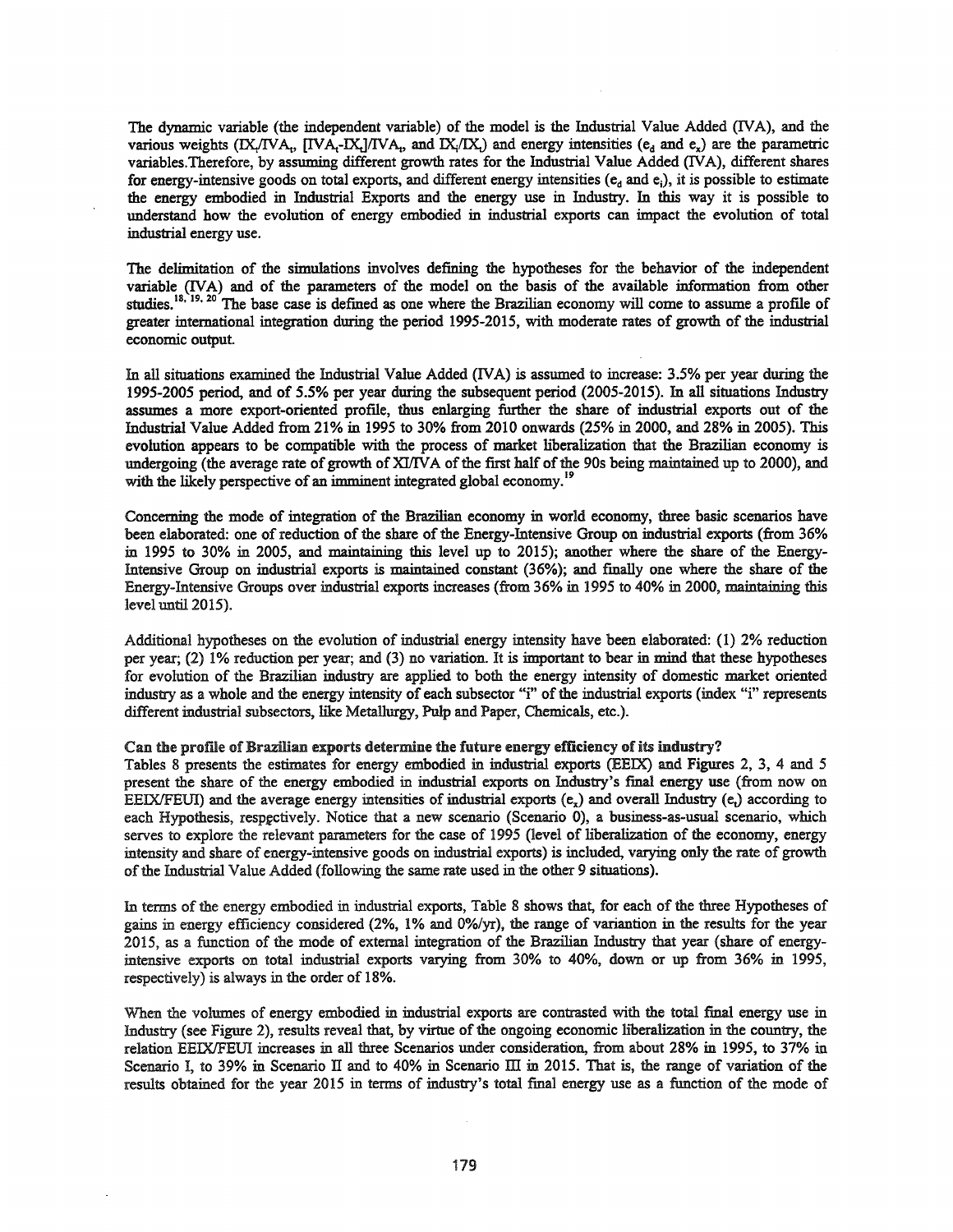The dynamic variable (the independent variable) of the model is the Industrial Value Added (IVA), and the various weights (IX<sub>I</sub>/IVA<sub>t</sub>, [IVA<sub>I</sub>-IX<sub>I</sub>]/IVA<sub>t</sub>, and IX<sub>i</sub>/IX<sub>i</sub>) and energy intensities (e<sub>d</sub> and e<sub>x</sub>) are the parametric variables.Therefore, by assuming different growth rates for the Industrial Value Added (IVA), different shares for energy-intensive goods on total exports, and different energy intensities  $(e_d$  and  $e_i$ ), it is possible to estimate the energy embodied in Industrial Exports and the energy use in Industry. In this way it is possible to understand how the evolution of energy embodied in industrial exports can impact the evolution of total industrial energy use.

The delimitation of the simulations involves defining the hypotheses for the behavior of the independent variable (IVA) and of the parameters of the model on the basis of the available information from other studies.<sup>18, 19, 20</sup> The base case is defined as one where the Brazilian economy will come to assume a profile of greater international integration during the period 1995-2015, with moderate rates of growth of the industrial economic output.

In all situations examined the Industrial Value Added (IVA) is assumed to increase: 3.5% per year during the 1995-2005 period, and of 5.5% per year during the subsequent period (2005-2015). In all situations Industry assumes a more export-oriented proflle, thus enlarging further the share of industrial exports out of the Industrial Value Added from 21% in 1995 to 30% from 2010 onwards (25% in 2000, and 28% in 2005). This evolution appears to be compatible with the process of market liberalization that the Brazilian economy is undergoing (the average rate of growth of XI/IVA of the first half of the 90s being maintained up to 2000), and with the likely perspective of an imminent integrated global economy.<sup>19</sup>

Concerning the mode of integration of the Brazilian economy in world economy, three basic scenarios have been elaborated: one of reduction of the share of the Energy-Intensive Group on industrial exports (from 36% in 1995 to 30% in 2005, and maintaining this level up to 2015); another where the share of the Energy-Intensive Group on industrial exports is maintained constant (36%); and fInally one where the share of the Energy-Intensive Groups over industrial exports increases (from 36% in 1995 to 40% in 2000, maintaining this level until 2015).

Additional hypotheses on the evolution of industrial energy intensity have been elaborated: (1) 2% reduction per year; (2) 1% reduction per year; and (3) no variation. It is important to bear in mind that these hypotheses for evolution of the Brazilian industry are applied to both the energy intensity of domestic market oriented industry as a whole and the energy intensity of each subsector "i" of the industrial exports (index "i" represents different industrial subsectors, like Metallurgy, Pulp and Paper, Chemicals, etc.).

## Can the profile of Brazilian exports determine the future energy efficiency of its industry?

Tables 8 presents the estimates for energy embodied in industrial exports (EEIX) and Figures 2, 3, 4 and 5 present the share of the energy embodied in industrial exports on Industry's final energy use (from now on EEIX/FEUI) and the average energy intensities of industrial exports  $(e_x)$  and overall Industry  $(e_y)$  according to each Hypothesis, respectively. Notice that a new scenario (Scenario 0), a business-as-usual scenario, which serves to explore the relevant parameters for the case of 1995 (level of liberalization of the economy, energy intensity and share of energy-intensive goods on industrial exports) is included, varying only the rate of growth of the Industrial Value Added (following the same rate used in the other 9 situations).

In terms of the energy embodied in industrial exports, Table 8 shows that, for each of the three Hypotheses of gains in energy efficiency considered (2%, 1% and O%/yr), the range of variantion in the results for the year 2015, as a function of the mode of external integration of the Brazilian Industry that year (share of energyintensive exports on total industrial exports varying from 30% to 40%, down or up from 36% in 1995, respectively) is always in the order of 18%.

When the volumes of energy embodied in industrial exports are contrasted with the total final energy use in Industry (see Figure 2), results reveal that, by virtue of the ongoing economic liberalization in the country, the relation EEIXIFEUI increases in all three Scenarios under consideration, from about 28% in 1995, to 37% in Scenario I, to 39% in Scenario II and to 40% in Scenario III in 2015. That is, the range of variation of the results obtained for the year 2015 in terms of industry's total final energy use as a function of the mode of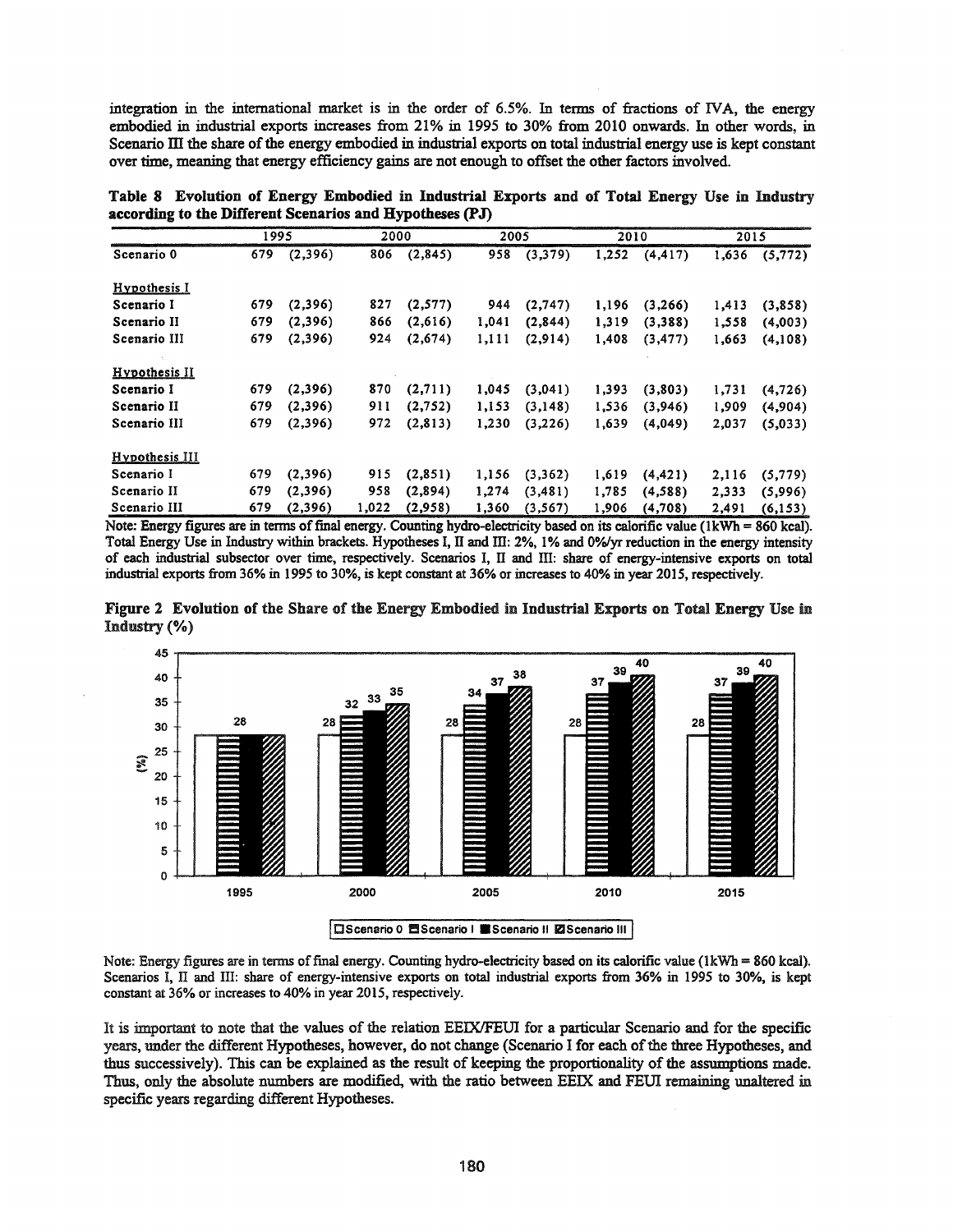integration in the international market is in the order of 6.5%. In terms of fractions of rvA, the energy embodied in industrial exports increases from 21% in 1995 to 30% from 2010 onwards. In other words, in Scenario III the share of the energy embodied in industrial exports on total industrial energy use is kept constant over time, meaning that energy efficiency gains are not enough to offset the other factors involved.

| Table 8 Evolution of Energy Embodied in Industrial Exports and of Total Energy Use in Industry |  |  |  |  |  |  |
|------------------------------------------------------------------------------------------------|--|--|--|--|--|--|
| according to the Different Scenarios and Hypotheses (PJ)                                       |  |  |  |  |  |  |

|                      | 1995 |          |       | 2000     |       | 2005     |       | 2010     | 2015  |          |
|----------------------|------|----------|-------|----------|-------|----------|-------|----------|-------|----------|
| Scenario 0           | 679  | (2,396)  | 806   | (2,845)  | 958   | (3,379)  | 1,252 | (4, 417) | 1,636 | (5, 772) |
| Hypothesis I         |      |          |       |          |       |          |       |          |       |          |
| Scenario I           | 679  | (2,396)  | 827   | (2,577)  | 944   | (2,747)  | 1,196 | (3,266)  | 1,413 | (3,858)  |
| Scenario II          | 679  | (2,396)  | 866   | (2,616)  | 1.041 | (2,844)  | 1,319 | (3,388)  | 1,558 | (4,003)  |
| Scenario III         | 679  | (2,396)  | 924   | (2,674)  | 1,111 | (2,914)  | 1,408 | (3, 477) | 1,663 | (4,108)  |
| <b>Hypothesis II</b> |      |          |       |          |       |          |       |          |       |          |
| Scenario I           | 679  | (2,396)  | 870   | (2,711)  | 1,045 | (3,041)  | 1,393 | (3,803)  | 1,731 | (4, 726) |
| Scenario II          | 679  | (2,396)  | 911   | (2,752)  | 1,153 | (3,148)  | 1,536 | (3,946)  | 1,909 | (4,904)  |
| Scenario III         | 679  | (2,396)  | 972   | (2,813)  | 1,230 | (3,226)  | 1,639 | (4,049)  | 2,037 | (5,033)  |
| Hypothesis III       |      |          |       |          |       |          |       |          |       |          |
| Scenario I           | 679  | (2,396)  | 915   | (2, 851) | 1,156 | (3,362)  | 1,619 | (4, 421) | 2,116 | (5, 779) |
| Scenario II          | 679  | (2,396)  | 958   | (2,894)  | 1,274 | (3, 481) | 1,785 | (4,588)  | 2.333 | (5,996)  |
| Scenario III         | 679  | (2, 396) | 1,022 | (2,958)  | 1,360 | (3, 567) | 1,906 | (4,708)  | 2,491 | (6, 153) |

Note: Energy figures are in terms of final energy. Counting hydro-electricity based on its calorific value (1kWh = 860 kcal). Total Energy Use in Industry within brackets. Hypotheses I, II and III: 2%, 1% and 0%/yr reduction in the energy intensity of each industrial subseetor over time, respectively. Scenarios I, IT and ill: share of energy-intensive exports on total industrial exports from 36% in 1995 to 30%, is kept constant at 36% or increases to 40% in year 2015, respectively.





Note: Energy figures are in tenns offinal energy. Counting hydro-electricity based on its calorific value (lkWh = 860 kcal). Scenarios I, II and III: share of energy-intensive exports on total industrial exports from 36% in 1995 to 30%, is kept constant at 36% or increases to 40% in year 2015, respectively.

It is important to note that the values of the relation EEIX/FEUI for a particular Scenario and for the specific years, under the different Hypotheses, however, do not change (Scenario I for each of the three Hypotheses, and thus successively). This can be explained as the result of keeping the proportionality ofthe assumptions made. Thus, only the absolute numbers are modified, with the ratio between EEIX and FEUI remaining unaltered in specific years regarding different Hypotheses.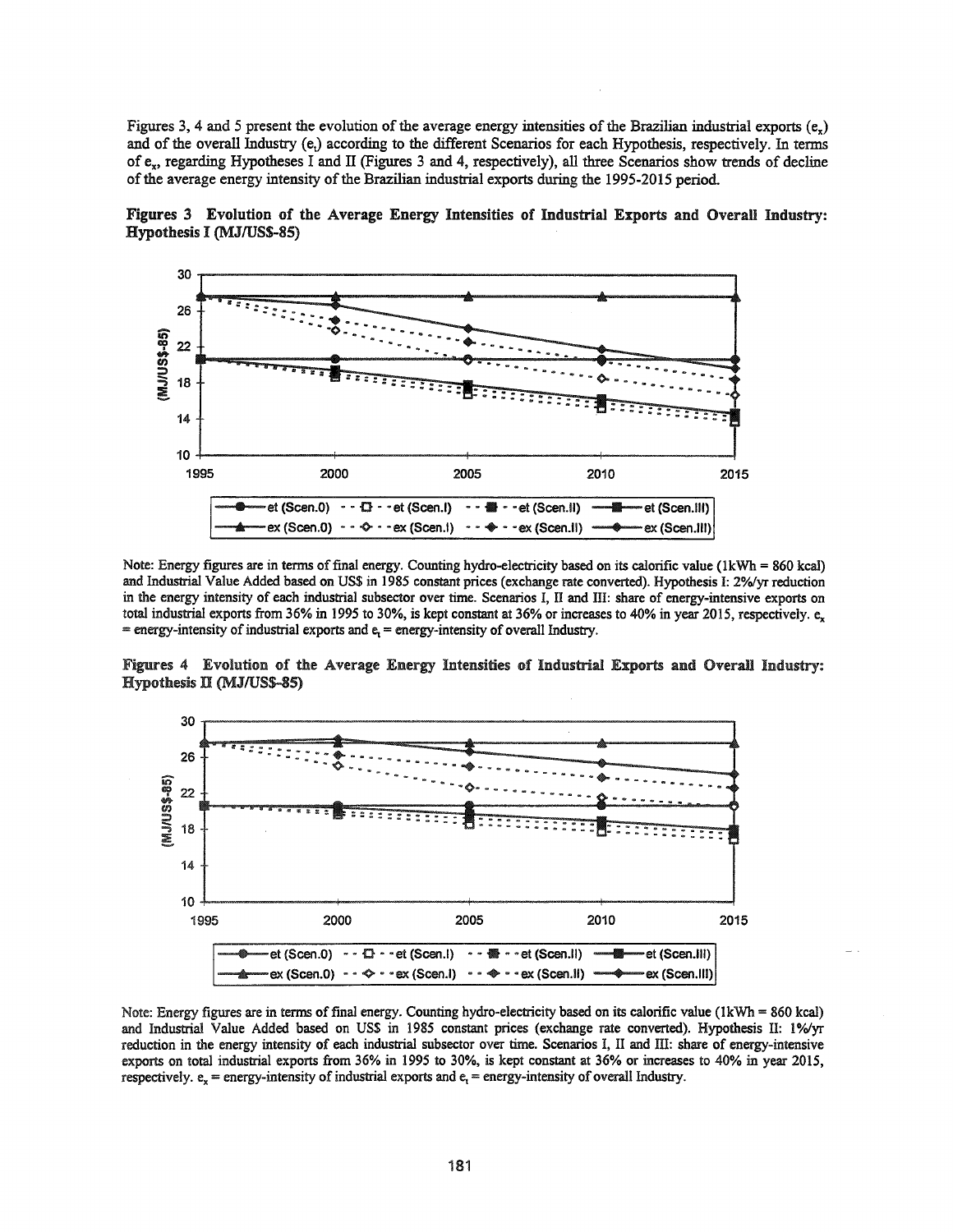Figures 3, 4 and 5 present the evolution of the average energy intensities of the Brazilian industrial exports  $(e_x)$ and of the overall Industry (e,) according to the different Scenarios for each Hypothesis, respectively. In terms of ex, regarding Hypotheses I and II (Figures 3 and 4, respectively), all three Scenarios show trends of decline of the average energy intensity of the Brazilian industrial exports during the 1995-2015 period.





Note: Energy figures are in terms of final energy. Counting hydro-electricity based on its calorific value (1kWh = 860 kcal) and Industrial Value Added based on US\$ in 1985 constant prices (exchange rate converted). Hypothesis I: 2%/yr reduction in the energy intensity of each industrial subsector over time. Scenarios I, II and III: share of energy-intensive exports on total industrial exports from 36% in 1995 to 30%, is kept constant at 36% or increases to 40% in year 2015, respectively.  $e_x$  $=$  energy-intensity of industrial exports and  $e<sub>r</sub>$  = energy-intensity of overall Industry.





Note: Energy figures are in terms of final energy. Counting hydro-electricity based on its calorific value (1kWh = 860 kcal) and Industrial Value Added based on US\$ in 1985 constant prices (exchange rate converted). Hypothesis II: 1%/yr reduction in the energy intensity of each industrial subsector over time. Scenarios I, II and III: share of energy-intensive exports on total industrial exports from 36% in 1995 to 30%, is kept constant at 36% or increases to 40% in year 2015, respectively.  $e_x$  = energy-intensity of industrial exports and  $e_y$  = energy-intensity of overall Industry.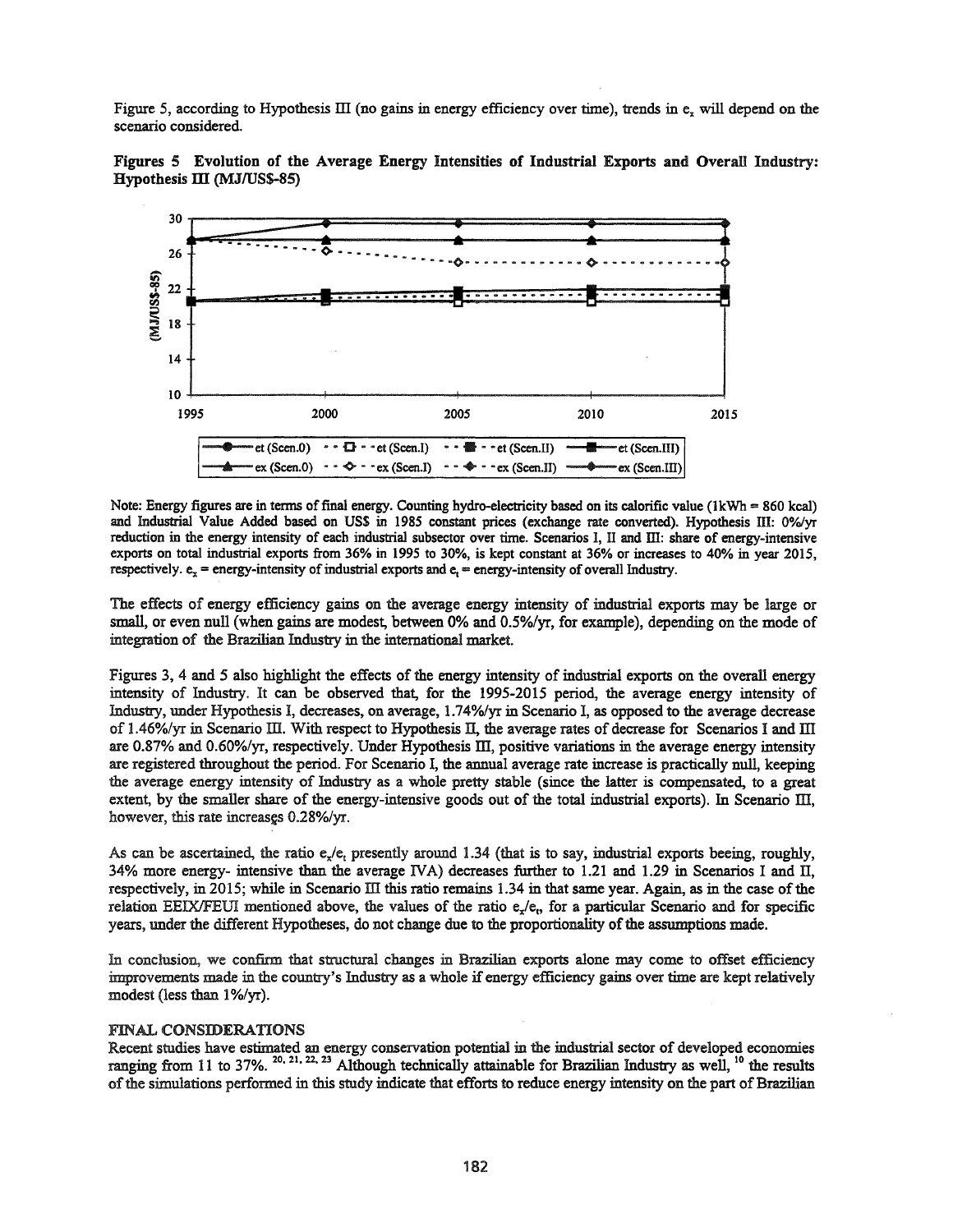Figure 5, according to Hypothesis III (no gains in energy efficiency over time), trends in  $e_x$  will depend on the scenario considered.





Note: Energy figures are in terms of final energy. Counting hydro-electricity based on its calorific value (1kWh = 860 kcal) and Industrial Value Added based on US\$ in 1985 constant prices (exchange rate converted). Hypothesis III: 0%/yr reduction in the energy intensity of each industrial subseetor over time. Scenarios I, II and ill: share of energy-intensive exports on total industrial exports from 36% in 1995 to 30%, is kept constant at 36% or increases to 40% in year 2015, respectively.  $e_x$  = energy-intensity of industrial exports and  $e_1$  = energy-intensity of overall Industry.

The effects of energy efficiency gains on the average energy intensity of industrial exports may be large or small, or even null (when gains are modest, between 0% and 0.5%/yr, for example), depending on the mode of integration of the Brazilian Industry in the international market.

Figures 3, 4 and 5 also highlight the effects of the energy intensity of industrial exports on the overall energy intensity of Industry. It can be observed that, for the 1995-2015 period, the average energy intensity of Industry, under Hypothesis I, decreases, on average, 1.74%/yr in Scenario I, as opposed to the average decrease of 1.46%/yr in Scenario III. With respect to Hypothesis II, the average rates of decrease for Scenarios I and III are 0.87% and 0.60%/yr, respectively. Under Hypothesis III, positive variations in the average energy intensity are registered throughout the period. For Scenario I, the annual average rate increase is practically null, keeping the average energy intensity of Industry as a whole pretty stable (since the latter is compensated, to a great extent, by the smaller share of the energy-intensive goods out of the total industrial exports). In Scenario III, however, this rate increases 0.28%/yr.

As can be ascertained, the ratio  $e_{x}/e_{t}$  presently around 1.34 (that is to say, industrial exports beeing, roughly, 34% more energy- intensive than the average IVA) decreases further to 1.21 and 1.29 in Scenarios I and II, respectively, in 2015; while in Scenario III this ratio remains 1.34 in that same year. Again, as in the case of the relation EEIX/FEUI mentioned above, the values of the ratio  $e_{x}/e_{t}$ , for a particular Scenario and for specific years, under the different Hypotheses, do not change due to the proportionality of the assumptions made.

In conclusion, we confirm that structural changes in Brazilian exports alone may come to offset efficiency improvements made in the country's Industry as a whole if energy efficiency gains over time are kept relatively modest (less than 1%/yr).

## FINAL CONSIDERATIONS

Recent studies have estimated an energy conservation potential in the industrial sector of developed economies ranging from 11 to 37%.  $^{20,21,22,23}$  Although technically attainable for Brazilian Industry as well, <sup>10</sup> the results of the simulations performed in this study indicate that efforts to reduce energy intensity on the part of Brazilian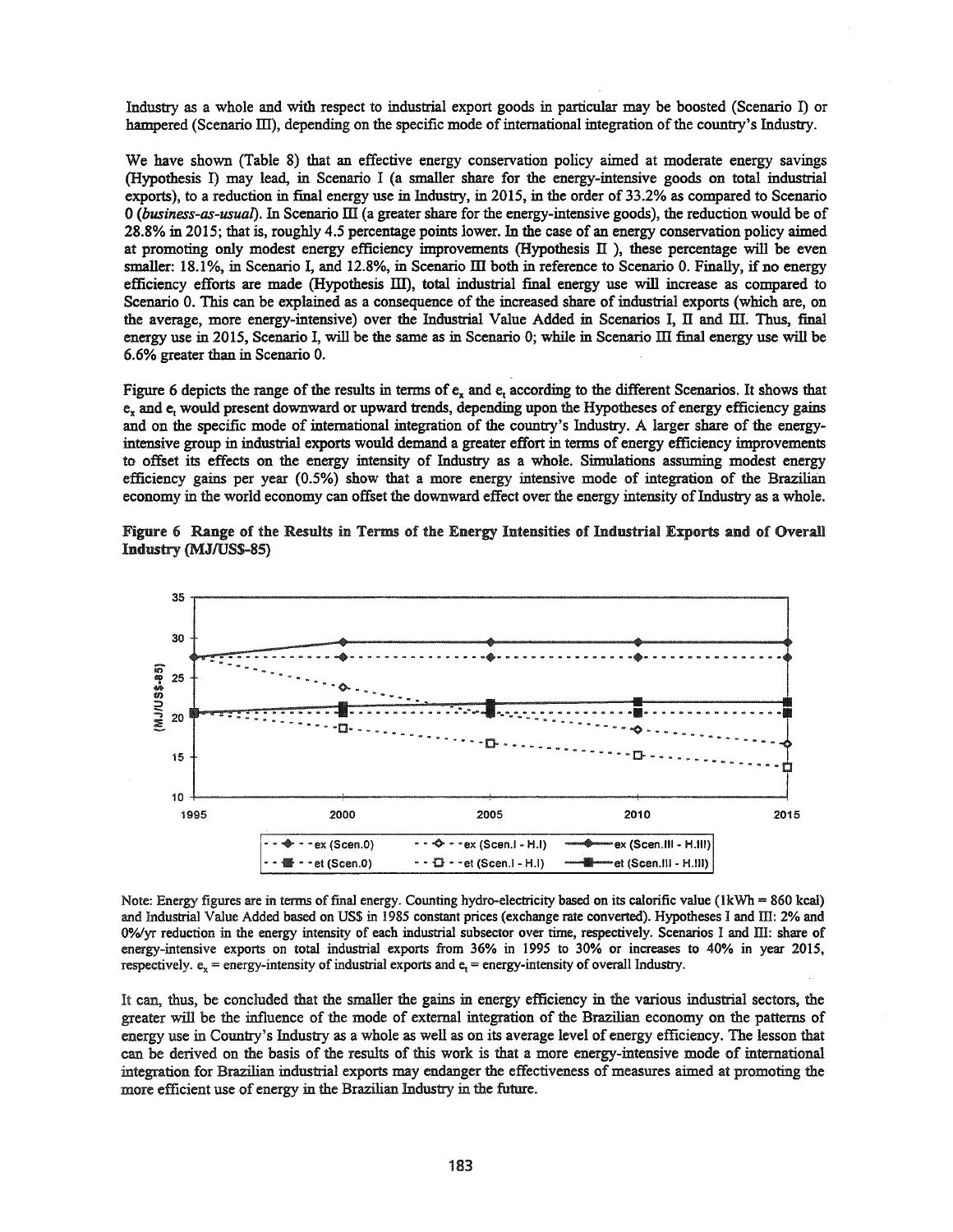Industry as a whole and with respect to industrial export goods in particular may be boosted (Scenario I) or hampered (Scenario III), depending on the specific mode of international integration of the country's Industry.

We have shown (Table 8) that an effective energy conservation policy aimed at moderate energy savings (Hypothesis I) may lead, in Scenario I (a smaller share for the energy-intensive goods on total industrial exports), to a reduction in final energy use in Industry, in 2015, in the order of 33.2% as compared to Scenario o*(business-as-usual).* In Scenario III (a greater share for the energy-intensive goods), the reduction would be of 28.8% in 2015; that is, roughly 4.5 percentage points lower. In the case of an energy conservation policy aimed at promoting only modest energy efficiency improvements (Hypothesis  $\Pi$  ), these percentage will be even smaller: 18.1%, in Scenario I, and 12.8%, in Scenario III both in reference to Scenario 0. Finally, if no energy efficiency efforts are made (Hypothesis III), total industrial final energy use will increase as compared to Scenario 0. This can be explained as a consequence of the increased share of industrial exports (which are, on the average, more energy-intensive) over the Industrial Value Added in Scenarios I, II and III. Thus, final energy use in 2015, Scenario I, will be the same as in Scenario 0; while in Scenario III final energy use will be 6.6% greater than in Scenario O.

Figure 6 depicts the range of the results in terms of e, and e, according to the different Scenarios. It shows that e, and e, would present downward or upward trends, depending upon the Hypotheses of energy efficiency gains and on the specific mode of international integration of the country's Industry. A larger share of the energyintensive group in industrial exports would demand a greater effort in terms of energy efficiency improvements to offset its effects on the energy intensity of Industry as a whole. Simulations assuming modest energy efficiency gains per year (0.5%) show that a more energy intensive mode of integration of the Brazilian economy in the world economy can offset the downward effect over the energy intensity of Industry as a whole.

Figure 6 Range of the Results in Terms of the Energy Intensities of Industrial Exports and of Overall Industry (MJIUSS-85)



Note: Energy figures are in terms of final energy. Counting hydro-electricity based on its calorific value ( $1kWh = 860$  kcal) and Industrial Value Added based on US\$ in 1985 constant prices (exchange rate converted). Hypotheses I and III: 2% and 0%/yr reduction in the energy intensity of each industrial subsector over time, respectively. Scenarios I and III: share of energy-intensive exports on total industrial exports from 36% in 1995 to 30% or increases to 40% in year 2015, respectively.  $e_x$  = energy-intensity of industrial exports and  $e_y$  = energy-intensity of overall Industry.

It can, thus, be concluded that the smaller the gains in energy efficiency in the various industrial sectors, the greater will be the influence of the mode of external integration of the Brazilian economy on the patterns of energy use in Country's Industry as a whole as well as on its average level of energy efficiency. The lesson that can be derived on the basis of the results of this work is that a more energy-intensive mode of international integration for Brazilian industrial exports may endanger the effectiveness of measures aimed at promoting the more efficient use of energy in the Brazilian Industry in the future.